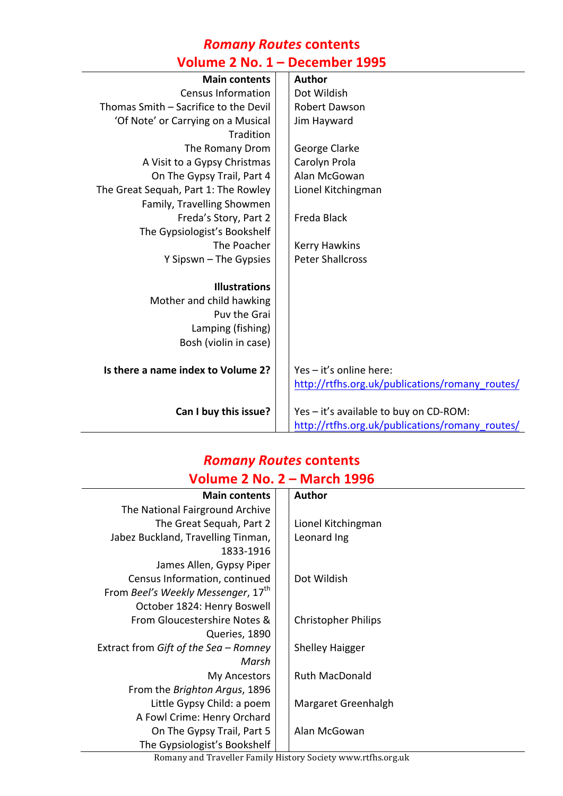### *Romany Routes* **contents Volume 2 No. 1 – December 1995**

| <b>Main contents</b>                  | <b>Author</b>                                   |
|---------------------------------------|-------------------------------------------------|
| <b>Census Information</b>             | Dot Wildish                                     |
| Thomas Smith - Sacrifice to the Devil | Robert Dawson                                   |
| 'Of Note' or Carrying on a Musical    | Jim Hayward                                     |
| Tradition                             |                                                 |
| The Romany Drom                       | George Clarke                                   |
| A Visit to a Gypsy Christmas          | Carolyn Prola                                   |
| On The Gypsy Trail, Part 4            | Alan McGowan                                    |
| The Great Sequah, Part 1: The Rowley  | Lionel Kitchingman                              |
| Family, Travelling Showmen            |                                                 |
| Freda's Story, Part 2                 | Freda Black                                     |
| The Gypsiologist's Bookshelf          |                                                 |
| The Poacher                           | Kerry Hawkins                                   |
| Y Sipswn - The Gypsies                | <b>Peter Shallcross</b>                         |
|                                       |                                                 |
| <b>Illustrations</b>                  |                                                 |
| Mother and child hawking              |                                                 |
| Puv the Grai                          |                                                 |
| Lamping (fishing)                     |                                                 |
| Bosh (violin in case)                 |                                                 |
|                                       |                                                 |
| Is there a name index to Volume 2?    | Yes - it's online here:                         |
|                                       | http://rtfhs.org.uk/publications/romany routes/ |
|                                       |                                                 |
| Can I buy this issue?                 | Yes - it's available to buy on CD-ROM:          |
|                                       | http://rtfhs.org.uk/publications/romany_routes/ |

# *Romany Routes* **contents**

## **Volume 2 No. 2 – March 1996**

| <b>Main contents</b>                           | <b>Author</b>              |
|------------------------------------------------|----------------------------|
| The National Fairground Archive                |                            |
| The Great Sequah, Part 2                       | Lionel Kitchingman         |
| Jabez Buckland, Travelling Tinman,             | Leonard Ing                |
| 1833-1916                                      |                            |
| James Allen, Gypsy Piper                       |                            |
| Census Information, continued                  | Dot Wildish                |
| From Beel's Weekly Messenger, 17 <sup>th</sup> |                            |
| October 1824: Henry Boswell                    |                            |
| From Gloucestershire Notes &                   | <b>Christopher Philips</b> |
| Queries, 1890                                  |                            |
| Extract from Gift of the Sea - Romney          | <b>Shelley Haigger</b>     |
| Marsh                                          |                            |
| My Ancestors                                   | <b>Ruth MacDonald</b>      |
| From the Brighton Argus, 1896                  |                            |
| Little Gypsy Child: a poem                     | Margaret Greenhalgh        |
| A Fowl Crime: Henry Orchard                    |                            |
| On The Gypsy Trail, Part 5                     | Alan McGowan               |
| The Gypsiologist's Bookshelf                   |                            |

Romany and Traveller Family History Society www.rtfhs.org.uk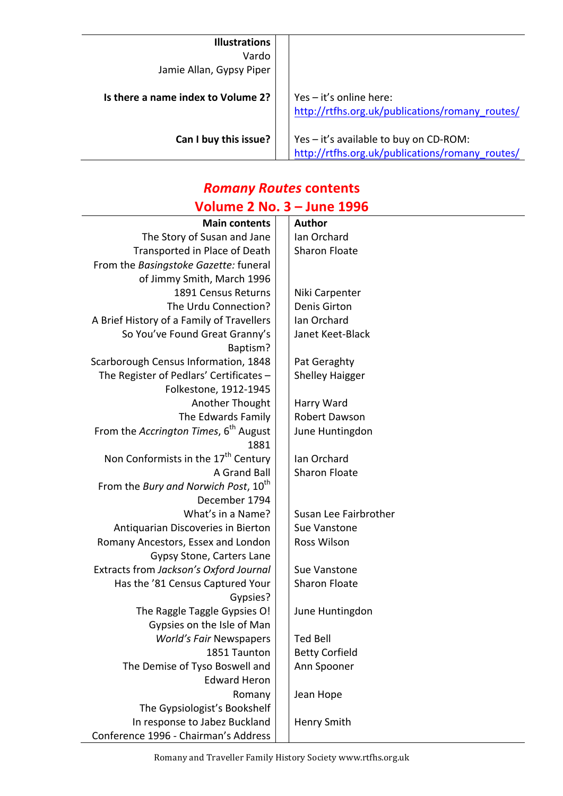| <b>Illustrations</b><br>Vardo<br>Jamie Allan, Gypsy Piper |                                                                                           |
|-----------------------------------------------------------|-------------------------------------------------------------------------------------------|
| Is there a name index to Volume 2?                        | Yes $-$ it's online here:<br>http://rtfhs.org.uk/publications/romany routes/              |
| Can I buy this issue?                                     | Yes - it's available to buy on CD-ROM:<br>http://rtfhs.org.uk/publications/romany routes/ |

#### *Romany Routes* **contents Volume 2 No. 3 – June 1996**

| UIIIL 4 IVV.<br>JUIL LJJV                                     |  |                        |  |
|---------------------------------------------------------------|--|------------------------|--|
| <b>Main contents</b>                                          |  | <b>Author</b>          |  |
| The Story of Susan and Jane                                   |  | Ian Orchard            |  |
| Transported in Place of Death                                 |  | <b>Sharon Floate</b>   |  |
| From the Basingstoke Gazette: funeral                         |  |                        |  |
| of Jimmy Smith, March 1996                                    |  |                        |  |
| 1891 Census Returns                                           |  | Niki Carpenter         |  |
| The Urdu Connection?                                          |  | <b>Denis Girton</b>    |  |
| A Brief History of a Family of Travellers                     |  | Ian Orchard            |  |
| So You've Found Great Granny's                                |  | Janet Keet-Black       |  |
| Baptism?                                                      |  |                        |  |
| Scarborough Census Information, 1848                          |  | Pat Geraghty           |  |
| The Register of Pedlars' Certificates -                       |  | <b>Shelley Haigger</b> |  |
| Folkestone, 1912-1945                                         |  |                        |  |
| Another Thought                                               |  | Harry Ward             |  |
| The Edwards Family                                            |  | Robert Dawson          |  |
| From the Accrington Times, 6 <sup>th</sup> August             |  | June Huntingdon        |  |
| 1881                                                          |  |                        |  |
| Non Conformists in the 17 <sup>th</sup> Century               |  | Ian Orchard            |  |
| A Grand Ball                                                  |  | Sharon Floate          |  |
| From the Bury and Norwich Post, 10 <sup>th</sup>              |  |                        |  |
| December 1794                                                 |  |                        |  |
| What's in a Name?                                             |  | Susan Lee Fairbrother  |  |
| Antiquarian Discoveries in Bierton                            |  | Sue Vanstone           |  |
| Romany Ancestors, Essex and London                            |  | Ross Wilson            |  |
| Gypsy Stone, Carters Lane                                     |  |                        |  |
| Extracts from Jackson's Oxford Journal                        |  | Sue Vanstone           |  |
| Has the '81 Census Captured Your                              |  | <b>Sharon Floate</b>   |  |
| Gypsies?                                                      |  |                        |  |
| The Raggle Taggle Gypsies O!                                  |  | June Huntingdon        |  |
| Gypsies on the Isle of Man                                    |  |                        |  |
| <b>World's Fair Newspapers</b>                                |  | <b>Ted Bell</b>        |  |
| 1851 Taunton                                                  |  | <b>Betty Corfield</b>  |  |
| The Demise of Tyso Boswell and<br><b>Edward Heron</b>         |  | Ann Spooner            |  |
|                                                               |  |                        |  |
| Romany                                                        |  | Jean Hope              |  |
| The Gypsiologist's Bookshelf<br>In response to Jabez Buckland |  |                        |  |
| Conference 1996 - Chairman's Address                          |  | Henry Smith            |  |
|                                                               |  |                        |  |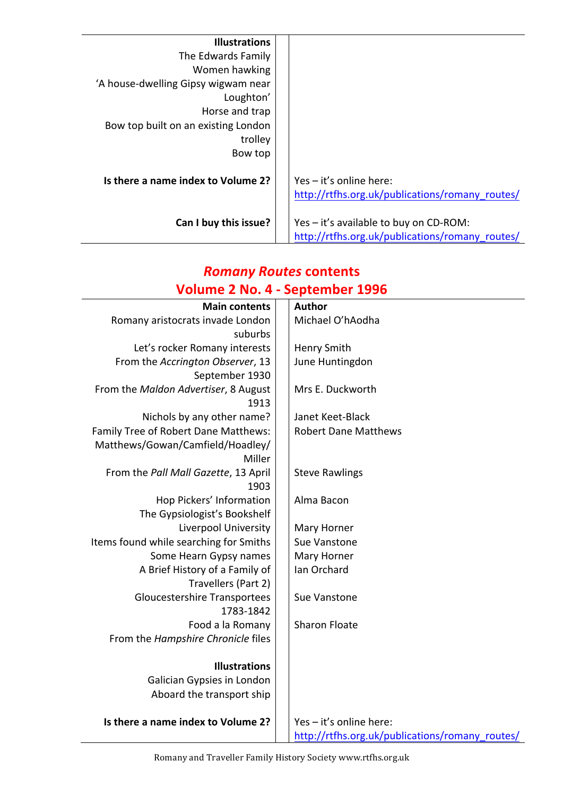| <b>Illustrations</b>                |                                                 |
|-------------------------------------|-------------------------------------------------|
| The Edwards Family                  |                                                 |
| Women hawking                       |                                                 |
| 'A house-dwelling Gipsy wigwam near |                                                 |
| Loughton'                           |                                                 |
| Horse and trap                      |                                                 |
| Bow top built on an existing London |                                                 |
| trolley                             |                                                 |
| Bow top                             |                                                 |
|                                     |                                                 |
| Is there a name index to Volume 2?  | Yes - it's online here:                         |
|                                     | http://rtfhs.org.uk/publications/romany routes/ |
|                                     |                                                 |
| Can I buy this issue?               | Yes - it's available to buy on CD-ROM:          |
|                                     | http://rtfhs.org.uk/publications/romany routes/ |

# *Romany Routes* **contents Volume 2 No. 4 - September 1996**

| <b>Main contents</b>                                       | Author                                          |
|------------------------------------------------------------|-------------------------------------------------|
| Romany aristocrats invade London                           | Michael O'hAodha                                |
| suburbs                                                    |                                                 |
| Let's rocker Romany interests                              | <b>Henry Smith</b>                              |
| From the Accrington Observer, 13                           | June Huntingdon                                 |
| September 1930                                             |                                                 |
| From the Maldon Advertiser, 8 August                       | Mrs E. Duckworth                                |
| 1913                                                       |                                                 |
| Nichols by any other name?                                 | Janet Keet-Black                                |
| Family Tree of Robert Dane Matthews:                       | <b>Robert Dane Matthews</b>                     |
| Matthews/Gowan/Camfield/Hoadley/                           |                                                 |
| Miller                                                     |                                                 |
| From the Pall Mall Gazette, 13 April                       | <b>Steve Rawlings</b>                           |
| 1903                                                       |                                                 |
| Hop Pickers' Information                                   | Alma Bacon                                      |
| The Gypsiologist's Bookshelf                               |                                                 |
| Liverpool University                                       | Mary Horner                                     |
| Items found while searching for Smiths                     | Sue Vanstone                                    |
| Some Hearn Gypsy names                                     | Mary Horner<br>Ian Orchard                      |
| A Brief History of a Family of                             |                                                 |
| Travellers (Part 2)<br><b>Gloucestershire Transportees</b> | Sue Vanstone                                    |
| 1783-1842                                                  |                                                 |
| Food a la Romany                                           | <b>Sharon Floate</b>                            |
| From the Hampshire Chronicle files                         |                                                 |
|                                                            |                                                 |
| <b>Illustrations</b>                                       |                                                 |
| Galician Gypsies in London                                 |                                                 |
| Aboard the transport ship                                  |                                                 |
|                                                            |                                                 |
| Is there a name index to Volume 2?                         | Yes - it's online here:                         |
|                                                            | http://rtfhs.org.uk/publications/romany_routes/ |